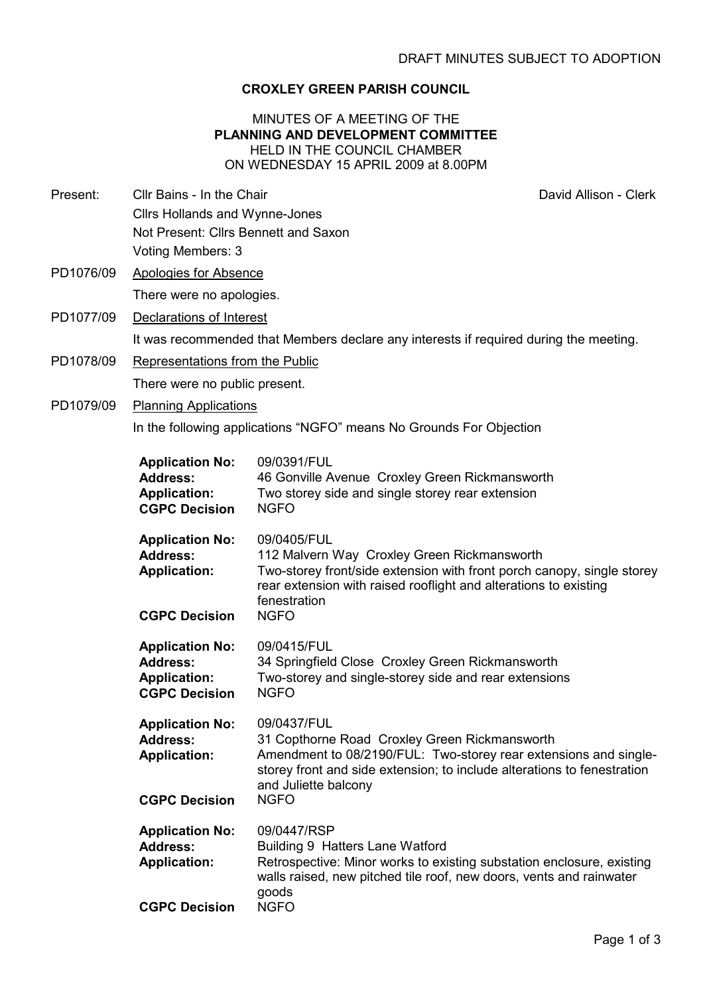# CROXLEY GREEN PARISH COUNCIL

MINUTES OF A MEETING OF THE PLANNING AND DEVELOPMENT COMMITTEE HELD IN THE COUNCIL CHAMBER ON WEDNESDAY 15 APRIL 2009 at 8.00PM

- Present: Cllr Bains In the Chair Chair David Allison Clerk Cllrs Hollands and Wynne-Jones Not Present: Cllrs Bennett and Saxon Voting Members: 3
- PD1076/09 Apologies for Absence There were no apologies.
- PD1077/09 Declarations of Interest

It was recommended that Members declare any interests if required during the meeting.

- PD1078/09 Representations from the Public There were no public present.
- PD1079/09 Planning Applications

In the following applications "NGFO" means No Grounds For Objection

| <b>Application No:</b><br><b>Address:</b><br><b>Application:</b><br><b>CGPC Decision</b> | 09/0391/FUL<br>46 Gonville Avenue Croxley Green Rickmansworth<br>Two storey side and single storey rear extension<br><b>NGFO</b>                                                                                                                   |
|------------------------------------------------------------------------------------------|----------------------------------------------------------------------------------------------------------------------------------------------------------------------------------------------------------------------------------------------------|
| <b>Application No:</b><br><b>Address:</b><br><b>Application:</b><br><b>CGPC Decision</b> | 09/0405/FUL<br>112 Malvern Way Croxley Green Rickmansworth<br>Two-storey front/side extension with front porch canopy, single storey<br>rear extension with raised rooflight and alterations to existing<br>fenestration<br><b>NGFO</b>            |
| <b>Application No:</b><br><b>Address:</b><br><b>Application:</b><br><b>CGPC Decision</b> | 09/0415/FUL<br>34 Springfield Close Croxley Green Rickmansworth<br>Two-storey and single-storey side and rear extensions<br><b>NGFO</b>                                                                                                            |
| <b>Application No:</b><br><b>Address:</b><br><b>Application:</b><br><b>CGPC Decision</b> | 09/0437/FUL<br>31 Copthorne Road Croxley Green Rickmansworth<br>Amendment to 08/2190/FUL: Two-storey rear extensions and single-<br>storey front and side extension; to include alterations to fenestration<br>and Juliette balcony<br><b>NGFO</b> |
| <b>Application No:</b><br><b>Address:</b><br><b>Application:</b><br><b>CGPC Decision</b> | 09/0447/RSP<br>Building 9 Hatters Lane Watford<br>Retrospective: Minor works to existing substation enclosure, existing<br>walls raised, new pitched tile roof, new doors, vents and rainwater<br>goods<br><b>NGFO</b>                             |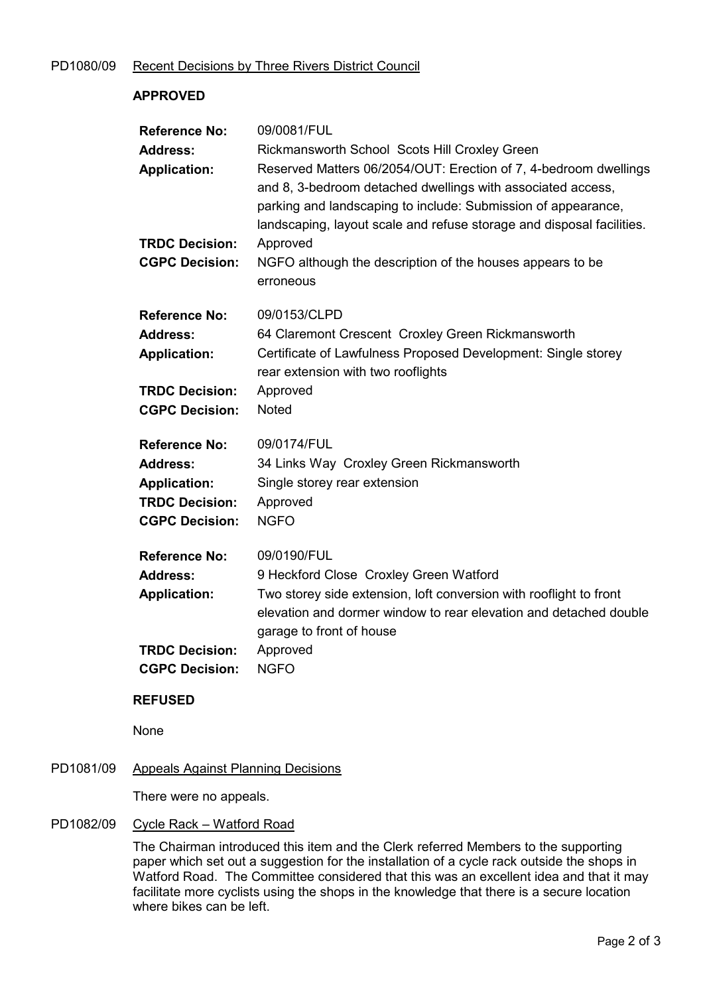# PD1080/09 Recent Decisions by Three Rivers District Council

# APPROVED Reference No: 09/0081/FUL Address: Rickmansworth School Scots Hill Croxley Green Application: Reserved Matters 06/2054/OUT: Erection of 7, 4-bedroom dwellings and 8, 3-bedroom detached dwellings with associated access, parking and landscaping to include: Submission of appearance, landscaping, layout scale and refuse storage and disposal facilities. TRDC Decision: Approved CGPC Decision: NGFO although the description of the houses appears to be erroneous Reference No: 09/0153/CLPD Address: 64 Claremont Crescent Croxley Green Rickmansworth Application: Certificate of Lawfulness Proposed Development: Single storey rear extension with two rooflights TRDC Decision: Approved CGPC Decision: Noted Reference No: 09/0174/FUL Address: 34 Links Way Croxley Green Rickmansworth Application: Single storey rear extension TRDC Decision: Approved CGPC Decision: NGFO Reference No: 09/0190/FUL Address: 9 Heckford Close Croxley Green Watford Application: Two storey side extension, loft conversion with rooflight to front elevation and dormer window to rear elevation and detached double garage to front of house TRDC Decision: Approved CGPC Decision: NGFO REFUSED

None

### PD1081/09 Appeals Against Planning Decisions

There were no appeals.

# PD1082/09 Cycle Rack – Watford Road

The Chairman introduced this item and the Clerk referred Members to the supporting paper which set out a suggestion for the installation of a cycle rack outside the shops in Watford Road. The Committee considered that this was an excellent idea and that it may facilitate more cyclists using the shops in the knowledge that there is a secure location where bikes can be left.